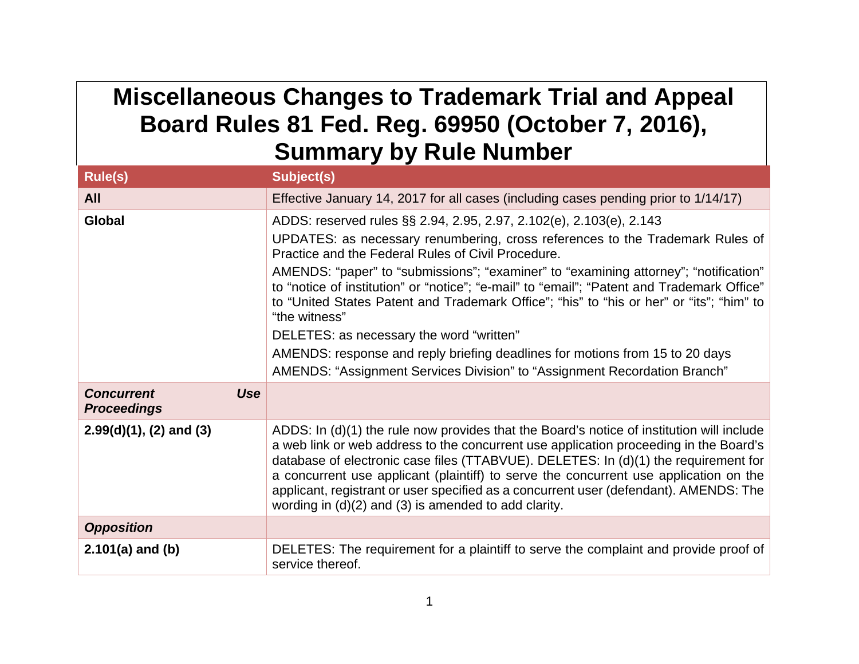## **Miscellaneous Changes to Trademark Trial and Appeal Board Rules 81 Fed. Reg. 69950 (October 7, 2016), Summary by Rule Number**

| <b>Rule(s)</b>                                        | Subject(s)                                                                                                                                                                                                                                                                                                                                                                                                                                                                                                                                                                                                                                                                                                             |
|-------------------------------------------------------|------------------------------------------------------------------------------------------------------------------------------------------------------------------------------------------------------------------------------------------------------------------------------------------------------------------------------------------------------------------------------------------------------------------------------------------------------------------------------------------------------------------------------------------------------------------------------------------------------------------------------------------------------------------------------------------------------------------------|
| <b>All</b>                                            | Effective January 14, 2017 for all cases (including cases pending prior to 1/14/17)                                                                                                                                                                                                                                                                                                                                                                                                                                                                                                                                                                                                                                    |
| <b>Global</b>                                         | ADDS: reserved rules §§ 2.94, 2.95, 2.97, 2.102(e), 2.103(e), 2.143<br>UPDATES: as necessary renumbering, cross references to the Trademark Rules of<br>Practice and the Federal Rules of Civil Procedure.<br>AMENDS: "paper" to "submissions"; "examiner" to "examining attorney"; "notification"<br>to "notice of institution" or "notice"; "e-mail" to "email"; "Patent and Trademark Office"<br>to "United States Patent and Trademark Office"; "his" to "his or her" or "its"; "him" to<br>"the witness"<br>DELETES: as necessary the word "written"<br>AMENDS: response and reply briefing deadlines for motions from 15 to 20 days<br>AMENDS: "Assignment Services Division" to "Assignment Recordation Branch" |
| <b>Use</b><br><b>Concurrent</b><br><b>Proceedings</b> |                                                                                                                                                                                                                                                                                                                                                                                                                                                                                                                                                                                                                                                                                                                        |
| $2.99(d)(1)$ , (2) and (3)                            | ADDS: In (d)(1) the rule now provides that the Board's notice of institution will include<br>a web link or web address to the concurrent use application proceeding in the Board's<br>database of electronic case files (TTABVUE). DELETES: In (d)(1) the requirement for<br>a concurrent use applicant (plaintiff) to serve the concurrent use application on the<br>applicant, registrant or user specified as a concurrent user (defendant). AMENDS: The<br>wording in $(d)(2)$ and $(3)$ is amended to add clarity.                                                                                                                                                                                                |
| <b>Opposition</b>                                     |                                                                                                                                                                                                                                                                                                                                                                                                                                                                                                                                                                                                                                                                                                                        |
| $2.101(a)$ and (b)                                    | DELETES: The requirement for a plaintiff to serve the complaint and provide proof of<br>service thereof.                                                                                                                                                                                                                                                                                                                                                                                                                                                                                                                                                                                                               |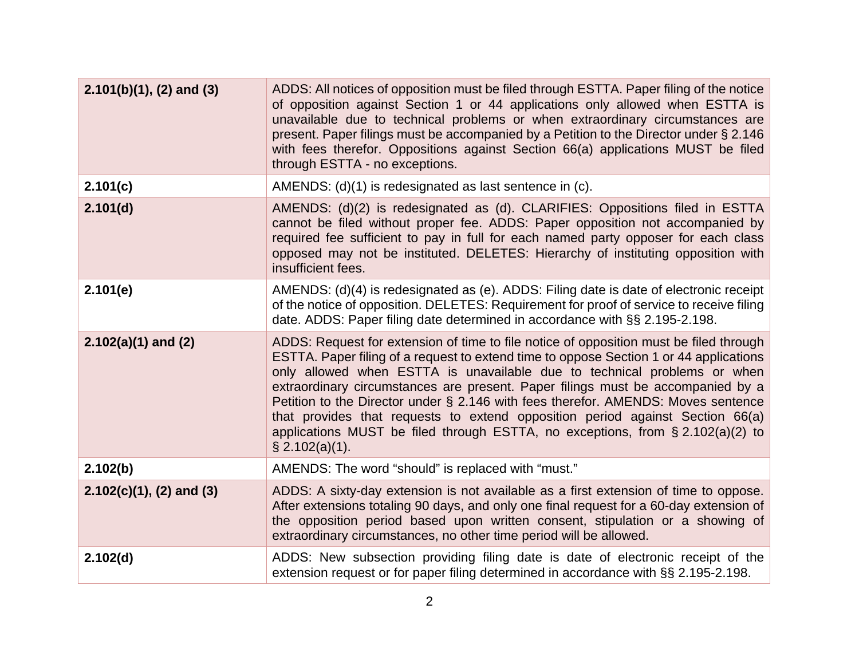| $2.101(b)(1)$ , (2) and (3) | ADDS: All notices of opposition must be filed through ESTTA. Paper filing of the notice<br>of opposition against Section 1 or 44 applications only allowed when ESTTA is<br>unavailable due to technical problems or when extraordinary circumstances are<br>present. Paper filings must be accompanied by a Petition to the Director under § 2.146<br>with fees therefor. Oppositions against Section 66(a) applications MUST be filed<br>through ESTTA - no exceptions.                                                                                                                                                    |
|-----------------------------|------------------------------------------------------------------------------------------------------------------------------------------------------------------------------------------------------------------------------------------------------------------------------------------------------------------------------------------------------------------------------------------------------------------------------------------------------------------------------------------------------------------------------------------------------------------------------------------------------------------------------|
| 2.101(c)                    | AMENDS: (d)(1) is redesignated as last sentence in (c).                                                                                                                                                                                                                                                                                                                                                                                                                                                                                                                                                                      |
| 2.101(d)                    | AMENDS: (d)(2) is redesignated as (d). CLARIFIES: Oppositions filed in ESTTA<br>cannot be filed without proper fee. ADDS: Paper opposition not accompanied by<br>required fee sufficient to pay in full for each named party opposer for each class<br>opposed may not be instituted. DELETES: Hierarchy of instituting opposition with<br>insufficient fees.                                                                                                                                                                                                                                                                |
| 2.101(e)                    | AMENDS: (d)(4) is redesignated as (e). ADDS: Filing date is date of electronic receipt<br>of the notice of opposition. DELETES: Requirement for proof of service to receive filing<br>date. ADDS: Paper filing date determined in accordance with §§ 2.195-2.198.                                                                                                                                                                                                                                                                                                                                                            |
| $2.102(a)(1)$ and (2)       | ADDS: Request for extension of time to file notice of opposition must be filed through<br>ESTTA. Paper filing of a request to extend time to oppose Section 1 or 44 applications<br>only allowed when ESTTA is unavailable due to technical problems or when<br>extraordinary circumstances are present. Paper filings must be accompanied by a<br>Petition to the Director under § 2.146 with fees therefor. AMENDS: Moves sentence<br>that provides that requests to extend opposition period against Section 66(a)<br>applications MUST be filed through ESTTA, no exceptions, from § 2.102(a)(2) to<br>$\S$ 2.102(a)(1). |
| 2.102(b)                    | AMENDS: The word "should" is replaced with "must."                                                                                                                                                                                                                                                                                                                                                                                                                                                                                                                                                                           |
| $2.102(c)(1), (2)$ and (3)  | ADDS: A sixty-day extension is not available as a first extension of time to oppose.<br>After extensions totaling 90 days, and only one final request for a 60-day extension of<br>the opposition period based upon written consent, stipulation or a showing of<br>extraordinary circumstances, no other time period will be allowed.                                                                                                                                                                                                                                                                                       |
| 2.102(d)                    | ADDS: New subsection providing filing date is date of electronic receipt of the<br>extension request or for paper filing determined in accordance with §§ 2.195-2.198.                                                                                                                                                                                                                                                                                                                                                                                                                                                       |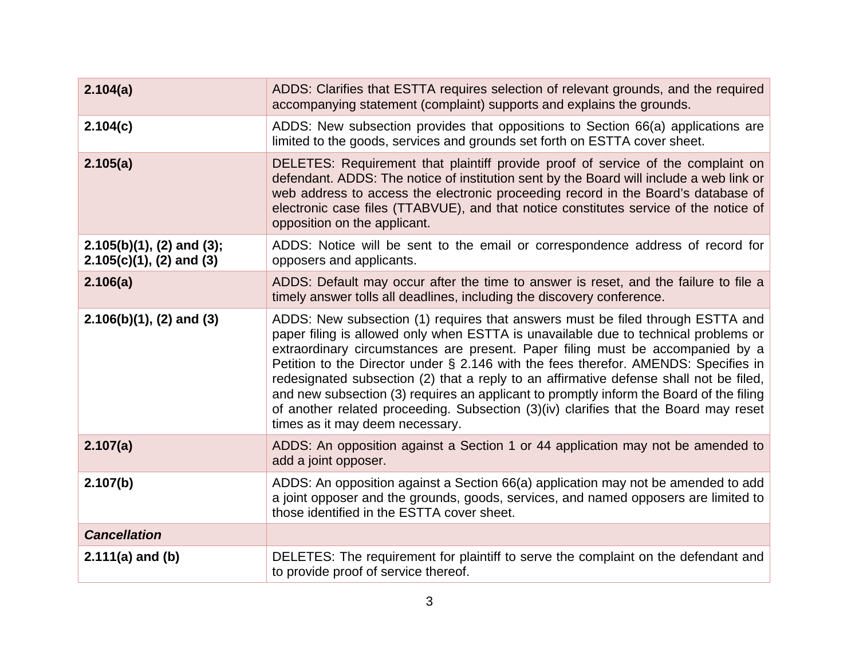| 2.104(a)                                                    | ADDS: Clarifies that ESTTA requires selection of relevant grounds, and the required<br>accompanying statement (complaint) supports and explains the grounds.                                                                                                                                                                                                                                                                                                                                                                                                                                                                                                   |
|-------------------------------------------------------------|----------------------------------------------------------------------------------------------------------------------------------------------------------------------------------------------------------------------------------------------------------------------------------------------------------------------------------------------------------------------------------------------------------------------------------------------------------------------------------------------------------------------------------------------------------------------------------------------------------------------------------------------------------------|
| 2.104(c)                                                    | ADDS: New subsection provides that oppositions to Section 66(a) applications are<br>limited to the goods, services and grounds set forth on ESTTA cover sheet.                                                                                                                                                                                                                                                                                                                                                                                                                                                                                                 |
| 2.105(a)                                                    | DELETES: Requirement that plaintiff provide proof of service of the complaint on<br>defendant. ADDS: The notice of institution sent by the Board will include a web link or<br>web address to access the electronic proceeding record in the Board's database of<br>electronic case files (TTABVUE), and that notice constitutes service of the notice of<br>opposition on the applicant.                                                                                                                                                                                                                                                                      |
| $2.105(b)(1)$ , (2) and (3);<br>$2.105(c)(1)$ , (2) and (3) | ADDS: Notice will be sent to the email or correspondence address of record for<br>opposers and applicants.                                                                                                                                                                                                                                                                                                                                                                                                                                                                                                                                                     |
| 2.106(a)                                                    | ADDS: Default may occur after the time to answer is reset, and the failure to file a<br>timely answer tolls all deadlines, including the discovery conference.                                                                                                                                                                                                                                                                                                                                                                                                                                                                                                 |
| $2.106(b)(1)$ , (2) and (3)                                 | ADDS: New subsection (1) requires that answers must be filed through ESTTA and<br>paper filing is allowed only when ESTTA is unavailable due to technical problems or<br>extraordinary circumstances are present. Paper filing must be accompanied by a<br>Petition to the Director under § 2.146 with the fees therefor. AMENDS: Specifies in<br>redesignated subsection (2) that a reply to an affirmative defense shall not be filed,<br>and new subsection (3) requires an applicant to promptly inform the Board of the filing<br>of another related proceeding. Subsection (3)(iv) clarifies that the Board may reset<br>times as it may deem necessary. |
| 2.107(a)                                                    | ADDS: An opposition against a Section 1 or 44 application may not be amended to<br>add a joint opposer.                                                                                                                                                                                                                                                                                                                                                                                                                                                                                                                                                        |
| 2.107(b)                                                    | ADDS: An opposition against a Section 66(a) application may not be amended to add<br>a joint opposer and the grounds, goods, services, and named opposers are limited to<br>those identified in the ESTTA cover sheet.                                                                                                                                                                                                                                                                                                                                                                                                                                         |
| <b>Cancellation</b>                                         |                                                                                                                                                                                                                                                                                                                                                                                                                                                                                                                                                                                                                                                                |
| $2.111(a)$ and (b)                                          | DELETES: The requirement for plaintiff to serve the complaint on the defendant and<br>to provide proof of service thereof.                                                                                                                                                                                                                                                                                                                                                                                                                                                                                                                                     |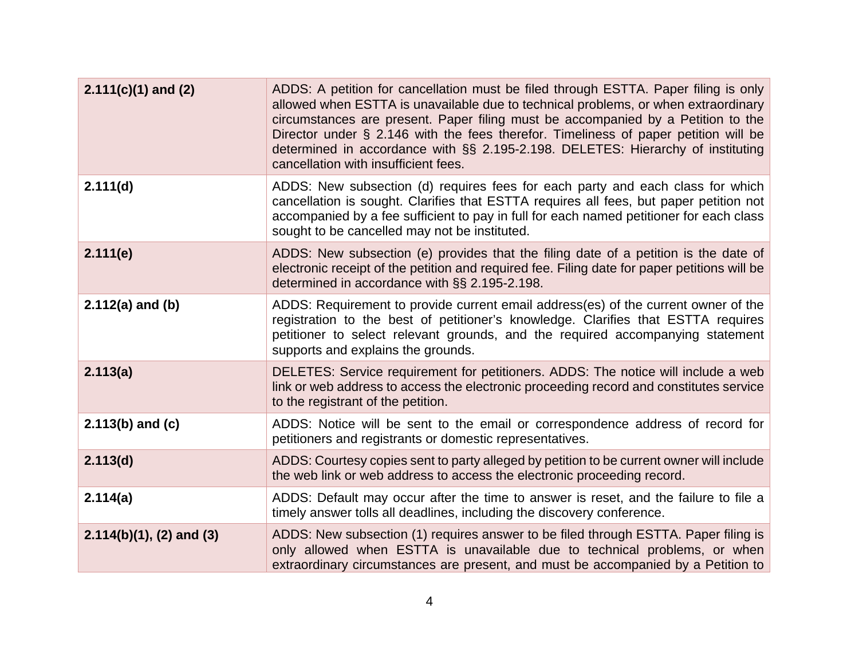| $2.111(c)(1)$ and (2)       | ADDS: A petition for cancellation must be filed through ESTTA. Paper filing is only<br>allowed when ESTTA is unavailable due to technical problems, or when extraordinary<br>circumstances are present. Paper filing must be accompanied by a Petition to the<br>Director under § 2.146 with the fees therefor. Timeliness of paper petition will be<br>determined in accordance with §§ 2.195-2.198. DELETES: Hierarchy of instituting<br>cancellation with insufficient fees. |
|-----------------------------|---------------------------------------------------------------------------------------------------------------------------------------------------------------------------------------------------------------------------------------------------------------------------------------------------------------------------------------------------------------------------------------------------------------------------------------------------------------------------------|
| 2.111(d)                    | ADDS: New subsection (d) requires fees for each party and each class for which<br>cancellation is sought. Clarifies that ESTTA requires all fees, but paper petition not<br>accompanied by a fee sufficient to pay in full for each named petitioner for each class<br>sought to be cancelled may not be instituted.                                                                                                                                                            |
| 2.111(e)                    | ADDS: New subsection (e) provides that the filing date of a petition is the date of<br>electronic receipt of the petition and required fee. Filing date for paper petitions will be<br>determined in accordance with §§ 2.195-2.198.                                                                                                                                                                                                                                            |
| $2.112(a)$ and (b)          | ADDS: Requirement to provide current email address(es) of the current owner of the<br>registration to the best of petitioner's knowledge. Clarifies that ESTTA requires<br>petitioner to select relevant grounds, and the required accompanying statement<br>supports and explains the grounds.                                                                                                                                                                                 |
| 2.113(a)                    | DELETES: Service requirement for petitioners. ADDS: The notice will include a web<br>link or web address to access the electronic proceeding record and constitutes service<br>to the registrant of the petition.                                                                                                                                                                                                                                                               |
| $2.113(b)$ and (c)          | ADDS: Notice will be sent to the email or correspondence address of record for<br>petitioners and registrants or domestic representatives.                                                                                                                                                                                                                                                                                                                                      |
| 2.113(d)                    | ADDS: Courtesy copies sent to party alleged by petition to be current owner will include<br>the web link or web address to access the electronic proceeding record.                                                                                                                                                                                                                                                                                                             |
| 2.114(a)                    | ADDS: Default may occur after the time to answer is reset, and the failure to file a<br>timely answer tolls all deadlines, including the discovery conference.                                                                                                                                                                                                                                                                                                                  |
| $2.114(b)(1)$ , (2) and (3) | ADDS: New subsection (1) requires answer to be filed through ESTTA. Paper filing is<br>only allowed when ESTTA is unavailable due to technical problems, or when<br>extraordinary circumstances are present, and must be accompanied by a Petition to                                                                                                                                                                                                                           |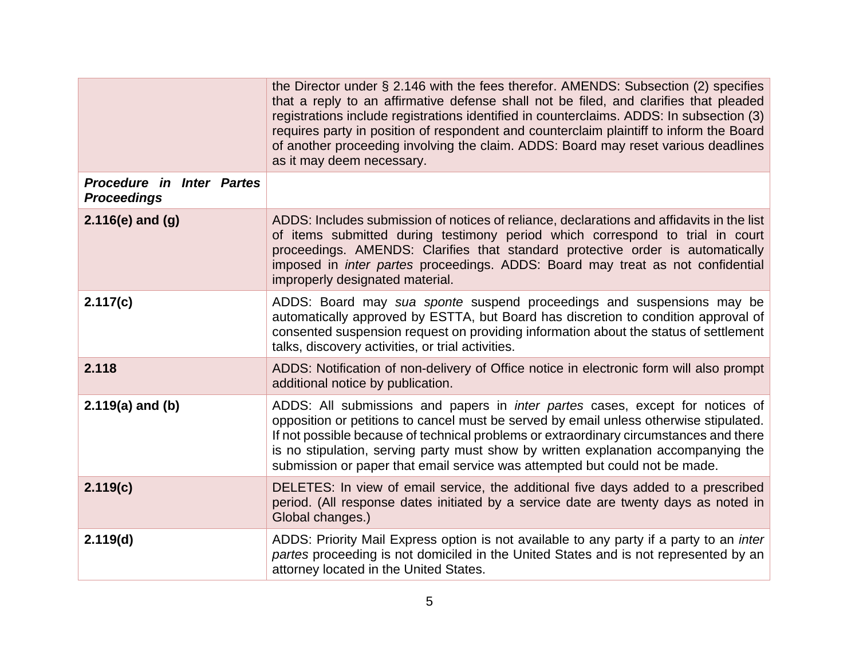|                                                        | the Director under § 2.146 with the fees therefor. AMENDS: Subsection (2) specifies<br>that a reply to an affirmative defense shall not be filed, and clarifies that pleaded<br>registrations include registrations identified in counterclaims. ADDS: In subsection (3)<br>requires party in position of respondent and counterclaim plaintiff to inform the Board<br>of another proceeding involving the claim. ADDS: Board may reset various deadlines<br>as it may deem necessary. |
|--------------------------------------------------------|----------------------------------------------------------------------------------------------------------------------------------------------------------------------------------------------------------------------------------------------------------------------------------------------------------------------------------------------------------------------------------------------------------------------------------------------------------------------------------------|
| <b>Procedure in Inter Partes</b><br><b>Proceedings</b> |                                                                                                                                                                                                                                                                                                                                                                                                                                                                                        |
| $2.116(e)$ and (g)                                     | ADDS: Includes submission of notices of reliance, declarations and affidavits in the list<br>of items submitted during testimony period which correspond to trial in court<br>proceedings. AMENDS: Clarifies that standard protective order is automatically<br>imposed in <i>inter partes</i> proceedings. ADDS: Board may treat as not confidential<br>improperly designated material.                                                                                               |
| 2.117(c)                                               | ADDS: Board may sua sponte suspend proceedings and suspensions may be<br>automatically approved by ESTTA, but Board has discretion to condition approval of<br>consented suspension request on providing information about the status of settlement<br>talks, discovery activities, or trial activities.                                                                                                                                                                               |
| 2.118                                                  | ADDS: Notification of non-delivery of Office notice in electronic form will also prompt<br>additional notice by publication.                                                                                                                                                                                                                                                                                                                                                           |
| $2.119(a)$ and (b)                                     | ADDS: All submissions and papers in <i>inter partes</i> cases, except for notices of<br>opposition or petitions to cancel must be served by email unless otherwise stipulated.<br>If not possible because of technical problems or extraordinary circumstances and there<br>is no stipulation, serving party must show by written explanation accompanying the<br>submission or paper that email service was attempted but could not be made.                                          |
| 2.119(c)                                               | DELETES: In view of email service, the additional five days added to a prescribed<br>period. (All response dates initiated by a service date are twenty days as noted in<br>Global changes.)                                                                                                                                                                                                                                                                                           |
| 2.119(d)                                               | ADDS: Priority Mail Express option is not available to any party if a party to an <i>inter</i><br>partes proceeding is not domiciled in the United States and is not represented by an<br>attorney located in the United States.                                                                                                                                                                                                                                                       |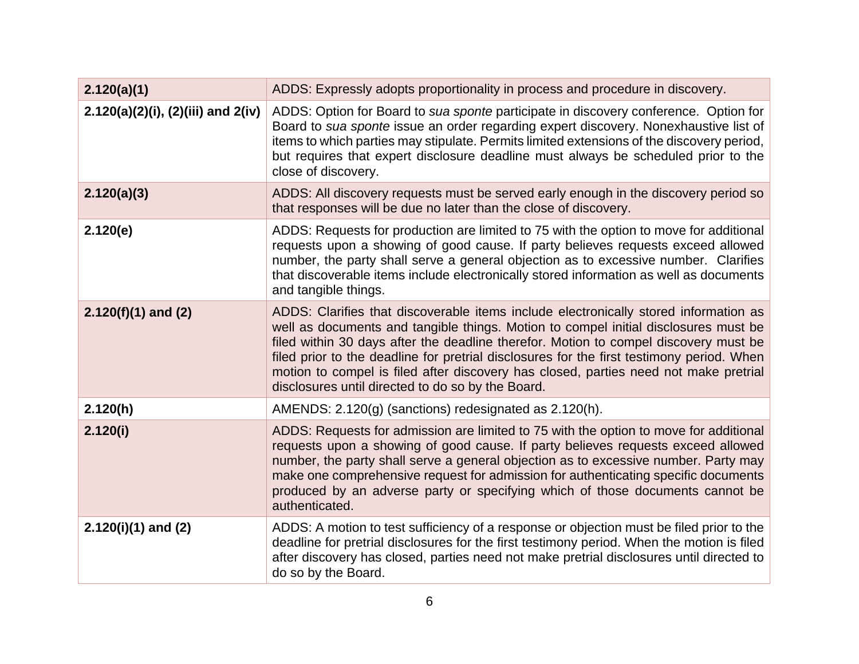| 2.120(a)(1)                               | ADDS: Expressly adopts proportionality in process and procedure in discovery.                                                                                                                                                                                                                                                                                                                                                                                                                                 |
|-------------------------------------------|---------------------------------------------------------------------------------------------------------------------------------------------------------------------------------------------------------------------------------------------------------------------------------------------------------------------------------------------------------------------------------------------------------------------------------------------------------------------------------------------------------------|
| $2.120(a)(2)(i)$ , $(2)(iii)$ and $2(iv)$ | ADDS: Option for Board to sua sponte participate in discovery conference. Option for<br>Board to sua sponte issue an order regarding expert discovery. Nonexhaustive list of<br>items to which parties may stipulate. Permits limited extensions of the discovery period,<br>but requires that expert disclosure deadline must always be scheduled prior to the<br>close of discovery.                                                                                                                        |
| 2.120(a)(3)                               | ADDS: All discovery requests must be served early enough in the discovery period so<br>that responses will be due no later than the close of discovery.                                                                                                                                                                                                                                                                                                                                                       |
| 2.120(e)                                  | ADDS: Requests for production are limited to 75 with the option to move for additional<br>requests upon a showing of good cause. If party believes requests exceed allowed<br>number, the party shall serve a general objection as to excessive number. Clarifies<br>that discoverable items include electronically stored information as well as documents<br>and tangible things.                                                                                                                           |
| $2.120(f)(1)$ and (2)                     | ADDS: Clarifies that discoverable items include electronically stored information as<br>well as documents and tangible things. Motion to compel initial disclosures must be<br>filed within 30 days after the deadline therefor. Motion to compel discovery must be<br>filed prior to the deadline for pretrial disclosures for the first testimony period. When<br>motion to compel is filed after discovery has closed, parties need not make pretrial<br>disclosures until directed to do so by the Board. |
| 2.120(h)                                  | AMENDS: 2.120(g) (sanctions) redesignated as 2.120(h).                                                                                                                                                                                                                                                                                                                                                                                                                                                        |
| 2.120(i)                                  | ADDS: Requests for admission are limited to 75 with the option to move for additional<br>requests upon a showing of good cause. If party believes requests exceed allowed<br>number, the party shall serve a general objection as to excessive number. Party may<br>make one comprehensive request for admission for authenticating specific documents<br>produced by an adverse party or specifying which of those documents cannot be<br>authenticated.                                                     |
| $2.120(i)(1)$ and (2)                     | ADDS: A motion to test sufficiency of a response or objection must be filed prior to the<br>deadline for pretrial disclosures for the first testimony period. When the motion is filed<br>after discovery has closed, parties need not make pretrial disclosures until directed to<br>do so by the Board.                                                                                                                                                                                                     |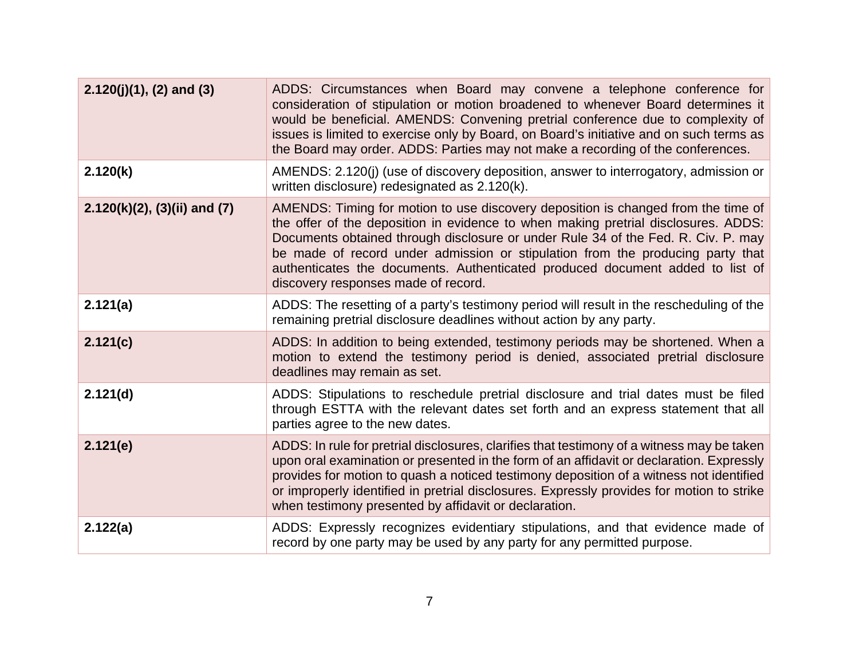| $2.120(j)(1)$ , (2) and (3)         | ADDS: Circumstances when Board may convene a telephone conference for<br>consideration of stipulation or motion broadened to whenever Board determines it<br>would be beneficial. AMENDS: Convening pretrial conference due to complexity of<br>issues is limited to exercise only by Board, on Board's initiative and on such terms as<br>the Board may order. ADDS: Parties may not make a recording of the conferences.                                             |
|-------------------------------------|------------------------------------------------------------------------------------------------------------------------------------------------------------------------------------------------------------------------------------------------------------------------------------------------------------------------------------------------------------------------------------------------------------------------------------------------------------------------|
| 2.120(k)                            | AMENDS: 2.120(j) (use of discovery deposition, answer to interrogatory, admission or<br>written disclosure) redesignated as 2.120(k).                                                                                                                                                                                                                                                                                                                                  |
| $2.120(k)(2)$ , $(3)(ii)$ and $(7)$ | AMENDS: Timing for motion to use discovery deposition is changed from the time of<br>the offer of the deposition in evidence to when making pretrial disclosures. ADDS:<br>Documents obtained through disclosure or under Rule 34 of the Fed. R. Civ. P. may<br>be made of record under admission or stipulation from the producing party that<br>authenticates the documents. Authenticated produced document added to list of<br>discovery responses made of record. |
| 2.121(a)                            | ADDS: The resetting of a party's testimony period will result in the rescheduling of the<br>remaining pretrial disclosure deadlines without action by any party.                                                                                                                                                                                                                                                                                                       |
| 2.121(c)                            | ADDS: In addition to being extended, testimony periods may be shortened. When a<br>motion to extend the testimony period is denied, associated pretrial disclosure<br>deadlines may remain as set.                                                                                                                                                                                                                                                                     |
| 2.121(d)                            | ADDS: Stipulations to reschedule pretrial disclosure and trial dates must be filed<br>through ESTTA with the relevant dates set forth and an express statement that all<br>parties agree to the new dates.                                                                                                                                                                                                                                                             |
| 2.121(e)                            | ADDS: In rule for pretrial disclosures, clarifies that testimony of a witness may be taken<br>upon oral examination or presented in the form of an affidavit or declaration. Expressly<br>provides for motion to quash a noticed testimony deposition of a witness not identified<br>or improperly identified in pretrial disclosures. Expressly provides for motion to strike<br>when testimony presented by affidavit or declaration.                                |
| 2.122(a)                            | ADDS: Expressly recognizes evidentiary stipulations, and that evidence made of<br>record by one party may be used by any party for any permitted purpose.                                                                                                                                                                                                                                                                                                              |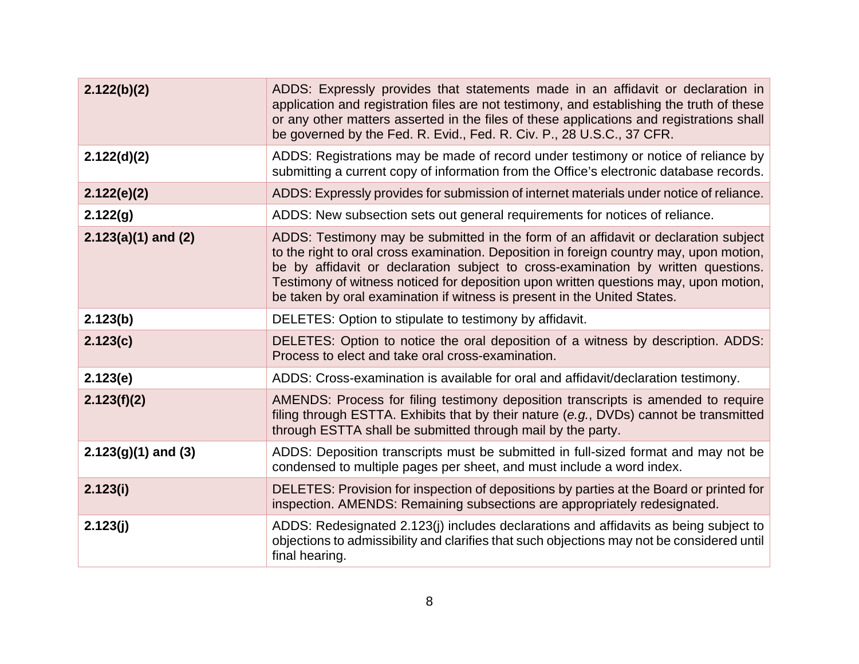| 2.122(b)(2)           | ADDS: Expressly provides that statements made in an affidavit or declaration in<br>application and registration files are not testimony, and establishing the truth of these<br>or any other matters asserted in the files of these applications and registrations shall<br>be governed by the Fed. R. Evid., Fed. R. Civ. P., 28 U.S.C., 37 CFR.                                                                                       |
|-----------------------|-----------------------------------------------------------------------------------------------------------------------------------------------------------------------------------------------------------------------------------------------------------------------------------------------------------------------------------------------------------------------------------------------------------------------------------------|
| 2.122(d)(2)           | ADDS: Registrations may be made of record under testimony or notice of reliance by<br>submitting a current copy of information from the Office's electronic database records.                                                                                                                                                                                                                                                           |
| 2.122(e)(2)           | ADDS: Expressly provides for submission of internet materials under notice of reliance.                                                                                                                                                                                                                                                                                                                                                 |
| 2.122(g)              | ADDS: New subsection sets out general requirements for notices of reliance.                                                                                                                                                                                                                                                                                                                                                             |
| $2.123(a)(1)$ and (2) | ADDS: Testimony may be submitted in the form of an affidavit or declaration subject<br>to the right to oral cross examination. Deposition in foreign country may, upon motion,<br>be by affidavit or declaration subject to cross-examination by written questions.<br>Testimony of witness noticed for deposition upon written questions may, upon motion,<br>be taken by oral examination if witness is present in the United States. |
| 2.123(b)              | DELETES: Option to stipulate to testimony by affidavit.                                                                                                                                                                                                                                                                                                                                                                                 |
| 2.123(c)              | DELETES: Option to notice the oral deposition of a witness by description. ADDS:<br>Process to elect and take oral cross-examination.                                                                                                                                                                                                                                                                                                   |
| 2.123(e)              | ADDS: Cross-examination is available for oral and affidavit/declaration testimony.                                                                                                                                                                                                                                                                                                                                                      |
| 2.123(f)(2)           | AMENDS: Process for filing testimony deposition transcripts is amended to require<br>filing through ESTTA. Exhibits that by their nature (e.g., DVDs) cannot be transmitted<br>through ESTTA shall be submitted through mail by the party.                                                                                                                                                                                              |
| $2.123(g)(1)$ and (3) | ADDS: Deposition transcripts must be submitted in full-sized format and may not be<br>condensed to multiple pages per sheet, and must include a word index.                                                                                                                                                                                                                                                                             |
| 2.123(i)              | DELETES: Provision for inspection of depositions by parties at the Board or printed for<br>inspection. AMENDS: Remaining subsections are appropriately redesignated.                                                                                                                                                                                                                                                                    |
| 2.123(j)              | ADDS: Redesignated 2.123(j) includes declarations and affidavits as being subject to<br>objections to admissibility and clarifies that such objections may not be considered until<br>final hearing.                                                                                                                                                                                                                                    |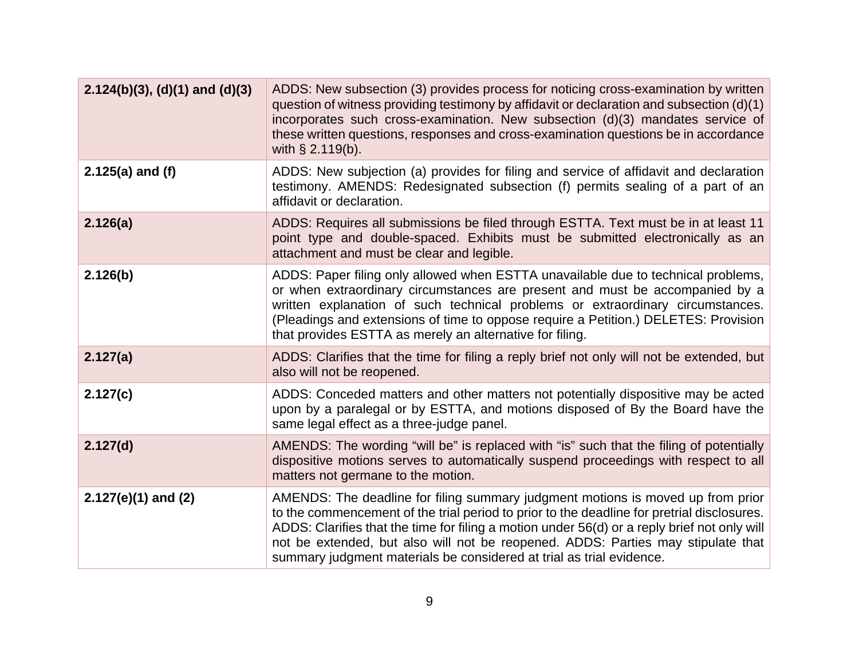| $2.124(b)(3)$ , (d)(1) and (d)(3) | ADDS: New subsection (3) provides process for noticing cross-examination by written<br>question of witness providing testimony by affidavit or declaration and subsection (d)(1)<br>incorporates such cross-examination. New subsection (d)(3) mandates service of<br>these written questions, responses and cross-examination questions be in accordance<br>with $\S$ 2.119(b).                                                          |
|-----------------------------------|-------------------------------------------------------------------------------------------------------------------------------------------------------------------------------------------------------------------------------------------------------------------------------------------------------------------------------------------------------------------------------------------------------------------------------------------|
| $2.125(a)$ and (f)                | ADDS: New subjection (a) provides for filing and service of affidavit and declaration<br>testimony. AMENDS: Redesignated subsection (f) permits sealing of a part of an<br>affidavit or declaration.                                                                                                                                                                                                                                      |
| 2.126(a)                          | ADDS: Requires all submissions be filed through ESTTA. Text must be in at least 11<br>point type and double-spaced. Exhibits must be submitted electronically as an<br>attachment and must be clear and legible.                                                                                                                                                                                                                          |
| 2.126(b)                          | ADDS: Paper filing only allowed when ESTTA unavailable due to technical problems,<br>or when extraordinary circumstances are present and must be accompanied by a<br>written explanation of such technical problems or extraordinary circumstances.<br>(Pleadings and extensions of time to oppose require a Petition.) DELETES: Provision<br>that provides ESTTA as merely an alternative for filing.                                    |
| 2.127(a)                          | ADDS: Clarifies that the time for filing a reply brief not only will not be extended, but<br>also will not be reopened.                                                                                                                                                                                                                                                                                                                   |
| 2.127(c)                          | ADDS: Conceded matters and other matters not potentially dispositive may be acted<br>upon by a paralegal or by ESTTA, and motions disposed of By the Board have the<br>same legal effect as a three-judge panel.                                                                                                                                                                                                                          |
| 2.127(d)                          | AMENDS: The wording "will be" is replaced with "is" such that the filing of potentially<br>dispositive motions serves to automatically suspend proceedings with respect to all<br>matters not germane to the motion.                                                                                                                                                                                                                      |
| $2.127(e)(1)$ and (2)             | AMENDS: The deadline for filing summary judgment motions is moved up from prior<br>to the commencement of the trial period to prior to the deadline for pretrial disclosures.<br>ADDS: Clarifies that the time for filing a motion under 56(d) or a reply brief not only will<br>not be extended, but also will not be reopened. ADDS: Parties may stipulate that<br>summary judgment materials be considered at trial as trial evidence. |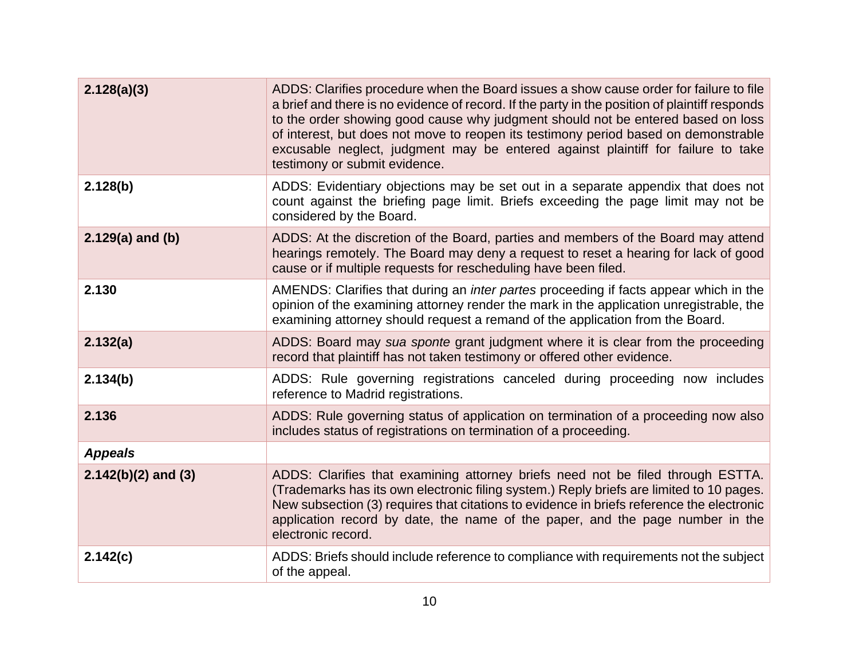| 2.128(a)(3)           | ADDS: Clarifies procedure when the Board issues a show cause order for failure to file<br>a brief and there is no evidence of record. If the party in the position of plaintiff responds<br>to the order showing good cause why judgment should not be entered based on loss<br>of interest, but does not move to reopen its testimony period based on demonstrable<br>excusable neglect, judgment may be entered against plaintiff for failure to take<br>testimony or submit evidence. |
|-----------------------|------------------------------------------------------------------------------------------------------------------------------------------------------------------------------------------------------------------------------------------------------------------------------------------------------------------------------------------------------------------------------------------------------------------------------------------------------------------------------------------|
| 2.128(b)              | ADDS: Evidentiary objections may be set out in a separate appendix that does not<br>count against the briefing page limit. Briefs exceeding the page limit may not be<br>considered by the Board.                                                                                                                                                                                                                                                                                        |
| $2.129(a)$ and (b)    | ADDS: At the discretion of the Board, parties and members of the Board may attend<br>hearings remotely. The Board may deny a request to reset a hearing for lack of good<br>cause or if multiple requests for rescheduling have been filed.                                                                                                                                                                                                                                              |
| 2.130                 | AMENDS: Clarifies that during an <i>inter partes</i> proceeding if facts appear which in the<br>opinion of the examining attorney render the mark in the application unregistrable, the<br>examining attorney should request a remand of the application from the Board.                                                                                                                                                                                                                 |
| 2.132(a)              | ADDS: Board may sua sponte grant judgment where it is clear from the proceeding<br>record that plaintiff has not taken testimony or offered other evidence.                                                                                                                                                                                                                                                                                                                              |
| 2.134(b)              | ADDS: Rule governing registrations canceled during proceeding now includes<br>reference to Madrid registrations.                                                                                                                                                                                                                                                                                                                                                                         |
| 2.136                 | ADDS: Rule governing status of application on termination of a proceeding now also<br>includes status of registrations on termination of a proceeding.                                                                                                                                                                                                                                                                                                                                   |
| <b>Appeals</b>        |                                                                                                                                                                                                                                                                                                                                                                                                                                                                                          |
| $2.142(b)(2)$ and (3) | ADDS: Clarifies that examining attorney briefs need not be filed through ESTTA.<br>(Trademarks has its own electronic filing system.) Reply briefs are limited to 10 pages.<br>New subsection (3) requires that citations to evidence in briefs reference the electronic<br>application record by date, the name of the paper, and the page number in the<br>electronic record.                                                                                                          |
| 2.142(c)              | ADDS: Briefs should include reference to compliance with requirements not the subject<br>of the appeal.                                                                                                                                                                                                                                                                                                                                                                                  |